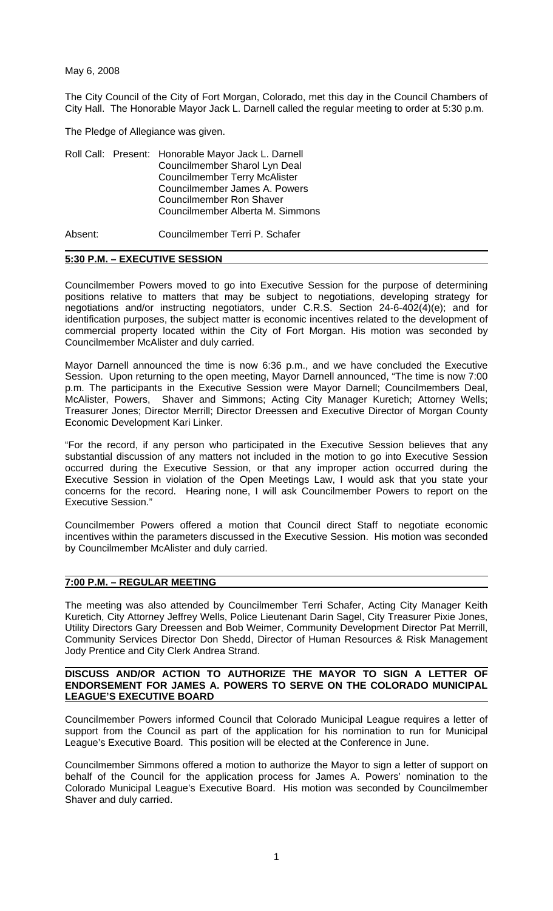May 6, 2008

The City Council of the City of Fort Morgan, Colorado, met this day in the Council Chambers of City Hall. The Honorable Mayor Jack L. Darnell called the regular meeting to order at 5:30 p.m.

The Pledge of Allegiance was given.

|  |  | Roll Call: Present: Honorable Mayor Jack L. Darnell |
|--|--|-----------------------------------------------------|
|  |  | Councilmember Sharol Lyn Deal                       |
|  |  | <b>Councilmember Terry McAlister</b>                |
|  |  | Councilmember James A. Powers                       |
|  |  | <b>Councilmember Ron Shaver</b>                     |
|  |  | Councilmember Alberta M. Simmons                    |
|  |  |                                                     |

Absent: Councilmember Terri P. Schafer

### **5:30 P.M. – EXECUTIVE SESSION**

Councilmember Powers moved to go into Executive Session for the purpose of determining positions relative to matters that may be subject to negotiations, developing strategy for negotiations and/or instructing negotiators, under C.R.S. Section 24-6-402(4)(e); and for identification purposes, the subject matter is economic incentives related to the development of commercial property located within the City of Fort Morgan. His motion was seconded by Councilmember McAlister and duly carried.

Mayor Darnell announced the time is now 6:36 p.m., and we have concluded the Executive Session. Upon returning to the open meeting, Mayor Darnell announced, "The time is now 7:00 p.m. The participants in the Executive Session were Mayor Darnell; Councilmembers Deal, McAlister, Powers, Shaver and Simmons; Acting City Manager Kuretich; Attorney Wells; Treasurer Jones; Director Merrill; Director Dreessen and Executive Director of Morgan County Economic Development Kari Linker.

"For the record, if any person who participated in the Executive Session believes that any substantial discussion of any matters not included in the motion to go into Executive Session occurred during the Executive Session, or that any improper action occurred during the Executive Session in violation of the Open Meetings Law, I would ask that you state your concerns for the record. Hearing none, I will ask Councilmember Powers to report on the Executive Session."

Councilmember Powers offered a motion that Council direct Staff to negotiate economic incentives within the parameters discussed in the Executive Session. His motion was seconded by Councilmember McAlister and duly carried.

### **7:00 P.M. – REGULAR MEETING**

The meeting was also attended by Councilmember Terri Schafer, Acting City Manager Keith Kuretich, City Attorney Jeffrey Wells, Police Lieutenant Darin Sagel, City Treasurer Pixie Jones, Utility Directors Gary Dreessen and Bob Weimer, Community Development Director Pat Merrill, Community Services Director Don Shedd, Director of Human Resources & Risk Management Jody Prentice and City Clerk Andrea Strand.

#### **DISCUSS AND/OR ACTION TO AUTHORIZE THE MAYOR TO SIGN A LETTER OF ENDORSEMENT FOR JAMES A. POWERS TO SERVE ON THE COLORADO MUNICIPAL LEAGUE'S EXECUTIVE BOARD**

Councilmember Powers informed Council that Colorado Municipal League requires a letter of support from the Council as part of the application for his nomination to run for Municipal League's Executive Board. This position will be elected at the Conference in June.

Councilmember Simmons offered a motion to authorize the Mayor to sign a letter of support on behalf of the Council for the application process for James A. Powers' nomination to the Colorado Municipal League's Executive Board. His motion was seconded by Councilmember Shaver and duly carried.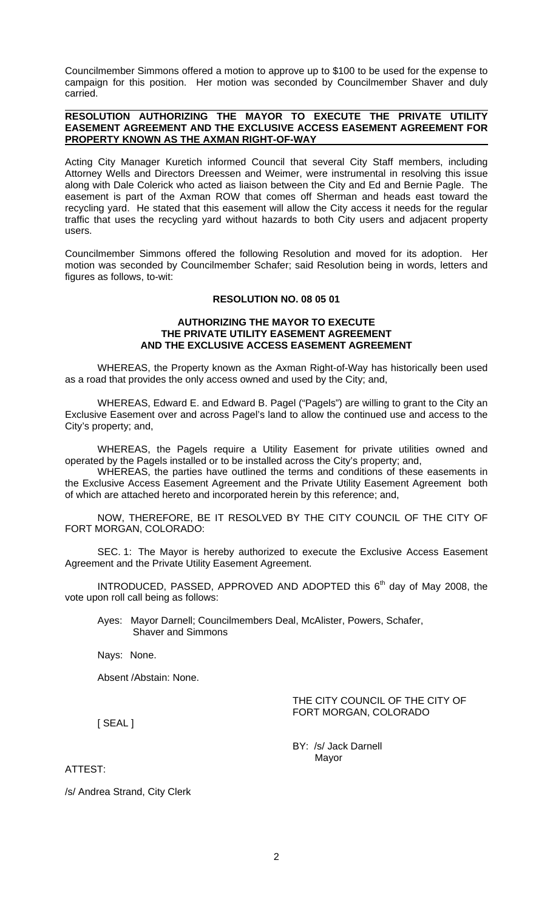Councilmember Simmons offered a motion to approve up to \$100 to be used for the expense to campaign for this position. Her motion was seconded by Councilmember Shaver and duly carried.

### **RESOLUTION AUTHORIZING THE MAYOR TO EXECUTE THE PRIVATE UTILITY EASEMENT AGREEMENT AND THE EXCLUSIVE ACCESS EASEMENT AGREEMENT FOR PROPERTY KNOWN AS THE AXMAN RIGHT-OF-WAY**

Acting City Manager Kuretich informed Council that several City Staff members, including Attorney Wells and Directors Dreessen and Weimer, were instrumental in resolving this issue along with Dale Colerick who acted as liaison between the City and Ed and Bernie Pagle. The easement is part of the Axman ROW that comes off Sherman and heads east toward the recycling yard. He stated that this easement will allow the City access it needs for the regular traffic that uses the recycling yard without hazards to both City users and adjacent property users.

Councilmember Simmons offered the following Resolution and moved for its adoption. Her motion was seconded by Councilmember Schafer; said Resolution being in words, letters and figures as follows, to-wit:

### **RESOLUTION NO. 08 05 01**

### **AUTHORIZING THE MAYOR TO EXECUTE THE PRIVATE UTILITY EASEMENT AGREEMENT AND THE EXCLUSIVE ACCESS EASEMENT AGREEMENT**

WHEREAS, the Property known as the Axman Right-of-Way has historically been used as a road that provides the only access owned and used by the City; and,

WHEREAS, Edward E. and Edward B. Pagel ("Pagels") are willing to grant to the City an Exclusive Easement over and across Pagel's land to allow the continued use and access to the City's property; and,

WHEREAS, the Pagels require a Utility Easement for private utilities owned and operated by the Pagels installed or to be installed across the City's property; and,

WHEREAS, the parties have outlined the terms and conditions of these easements in the Exclusive Access Easement Agreement and the Private Utility Easement Agreement both of which are attached hereto and incorporated herein by this reference; and,

NOW, THEREFORE, BE IT RESOLVED BY THE CITY COUNCIL OF THE CITY OF FORT MORGAN, COLORADO:

 SEC. 1: The Mayor is hereby authorized to execute the Exclusive Access Easement Agreement and the Private Utility Easement Agreement.

INTRODUCED, PASSED, APPROVED AND ADOPTED this  $6<sup>th</sup>$  day of May 2008, the vote upon roll call being as follows:

Ayes: Mayor Darnell; Councilmembers Deal, McAlister, Powers, Schafer, Shaver and Simmons

Nays: None.

Absent /Abstain: None.

THE CITY COUNCIL OF THE CITY OF FORT MORGAN, COLORADO

[ SEAL ]

 BY: /s/ Jack Darnell Mayor

ATTEST:

/s/ Andrea Strand, City Clerk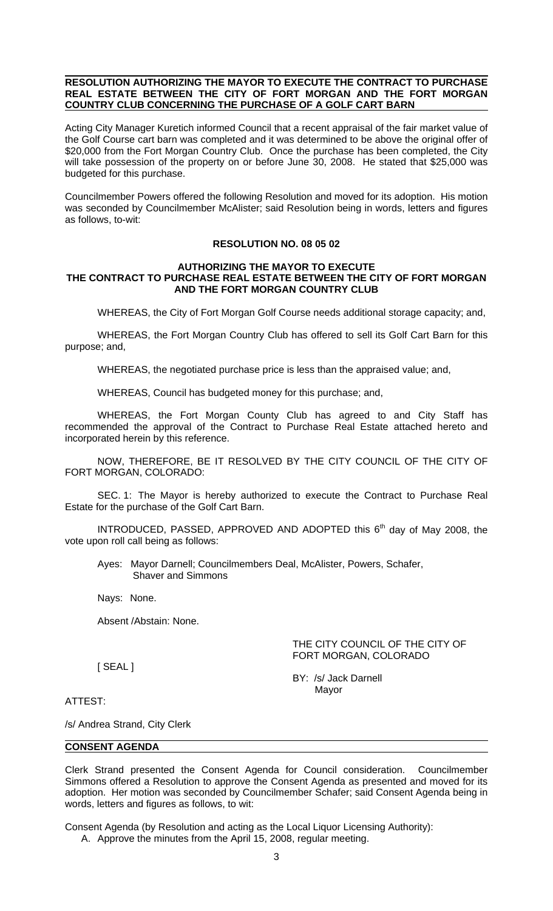### **RESOLUTION AUTHORIZING THE MAYOR TO EXECUTE THE CONTRACT TO PURCHASE REAL ESTATE BETWEEN THE CITY OF FORT MORGAN AND THE FORT MORGAN COUNTRY CLUB CONCERNING THE PURCHASE OF A GOLF CART BARN**

Acting City Manager Kuretich informed Council that a recent appraisal of the fair market value of the Golf Course cart barn was completed and it was determined to be above the original offer of \$20,000 from the Fort Morgan Country Club. Once the purchase has been completed, the City will take possession of the property on or before June 30, 2008. He stated that \$25,000 was budgeted for this purchase.

Councilmember Powers offered the following Resolution and moved for its adoption. His motion was seconded by Councilmember McAlister; said Resolution being in words, letters and figures as follows, to-wit:

## **RESOLUTION NO. 08 05 02**

### **AUTHORIZING THE MAYOR TO EXECUTE THE CONTRACT TO PURCHASE REAL ESTATE BETWEEN THE CITY OF FORT MORGAN AND THE FORT MORGAN COUNTRY CLUB**

WHEREAS, the City of Fort Morgan Golf Course needs additional storage capacity; and,

WHEREAS, the Fort Morgan Country Club has offered to sell its Golf Cart Barn for this purpose; and,

WHEREAS, the negotiated purchase price is less than the appraised value; and,

WHEREAS, Council has budgeted money for this purchase; and,

WHEREAS, the Fort Morgan County Club has agreed to and City Staff has recommended the approval of the Contract to Purchase Real Estate attached hereto and incorporated herein by this reference.

NOW, THEREFORE, BE IT RESOLVED BY THE CITY COUNCIL OF THE CITY OF FORT MORGAN, COLORADO:

 SEC. 1: The Mayor is hereby authorized to execute the Contract to Purchase Real Estate for the purchase of the Golf Cart Barn.

INTRODUCED, PASSED, APPROVED AND ADOPTED this  $6<sup>th</sup>$  day of May 2008, the vote upon roll call being as follows:

Ayes: Mayor Darnell; Councilmembers Deal, McAlister, Powers, Schafer, Shaver and Simmons

Nays: None.

Absent /Abstain: None.

THE CITY COUNCIL OF THE CITY OF FORT MORGAN, COLORADO

[ SEAL ]

 BY: /s/ Jack Darnell Mayor

ATTEST:

/s/ Andrea Strand, City Clerk

### **CONSENT AGENDA**

Clerk Strand presented the Consent Agenda for Council consideration. Councilmember Simmons offered a Resolution to approve the Consent Agenda as presented and moved for its adoption. Her motion was seconded by Councilmember Schafer; said Consent Agenda being in words, letters and figures as follows, to wit:

Consent Agenda (by Resolution and acting as the Local Liquor Licensing Authority):

A. Approve the minutes from the April 15, 2008, regular meeting.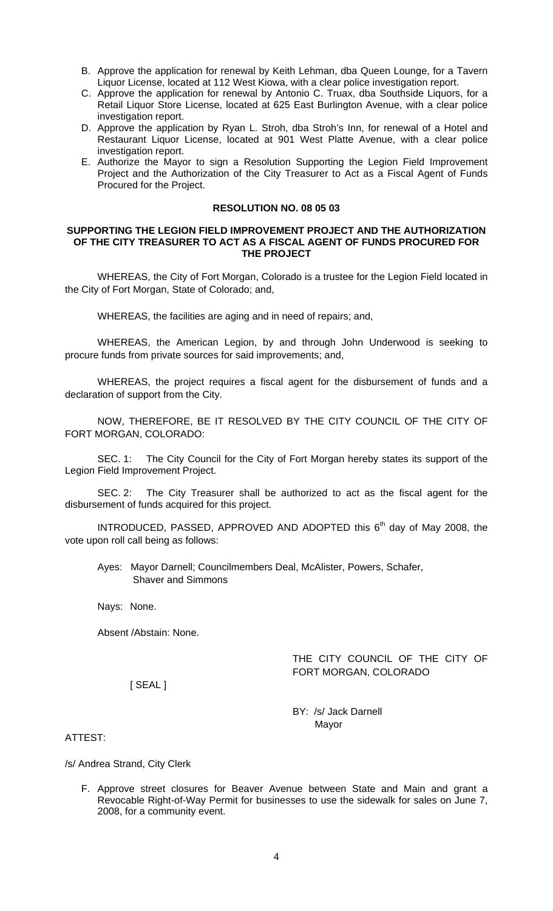- B. Approve the application for renewal by Keith Lehman, dba Queen Lounge, for a Tavern Liquor License, located at 112 West Kiowa, with a clear police investigation report.
- C. Approve the application for renewal by Antonio C. Truax, dba Southside Liquors, for a Retail Liquor Store License, located at 625 East Burlington Avenue, with a clear police investigation report.
- D. Approve the application by Ryan L. Stroh, dba Stroh's Inn, for renewal of a Hotel and Restaurant Liquor License, located at 901 West Platte Avenue, with a clear police investigation report.
- E. Authorize the Mayor to sign a Resolution Supporting the Legion Field Improvement Project and the Authorization of the City Treasurer to Act as a Fiscal Agent of Funds Procured for the Project.

### **RESOLUTION NO. 08 05 03**

### **SUPPORTING THE LEGION FIELD IMPROVEMENT PROJECT AND THE AUTHORIZATION OF THE CITY TREASURER TO ACT AS A FISCAL AGENT OF FUNDS PROCURED FOR THE PROJECT**

WHEREAS, the City of Fort Morgan, Colorado is a trustee for the Legion Field located in the City of Fort Morgan, State of Colorado; and,

WHEREAS, the facilities are aging and in need of repairs; and,

WHEREAS, the American Legion, by and through John Underwood is seeking to procure funds from private sources for said improvements; and,

WHEREAS, the project requires a fiscal agent for the disbursement of funds and a declaration of support from the City.

NOW, THEREFORE, BE IT RESOLVED BY THE CITY COUNCIL OF THE CITY OF FORT MORGAN, COLORADO:

SEC. 1: The City Council for the City of Fort Morgan hereby states its support of the Legion Field Improvement Project.

 SEC. 2: The City Treasurer shall be authorized to act as the fiscal agent for the disbursement of funds acquired for this project.

INTRODUCED, PASSED, APPROVED AND ADOPTED this  $6<sup>th</sup>$  day of May 2008, the vote upon roll call being as follows:

Ayes: Mayor Darnell; Councilmembers Deal, McAlister, Powers, Schafer, Shaver and Simmons

Nays: None.

Absent /Abstain: None.

# THE CITY COUNCIL OF THE CITY OF FORT MORGAN, COLORADO

[ SEAL ]

BY: /s/ Jack Darnell Mayor

ATTEST:

/s/ Andrea Strand, City Clerk

F. Approve street closures for Beaver Avenue between State and Main and grant a Revocable Right-of-Way Permit for businesses to use the sidewalk for sales on June 7, 2008, for a community event.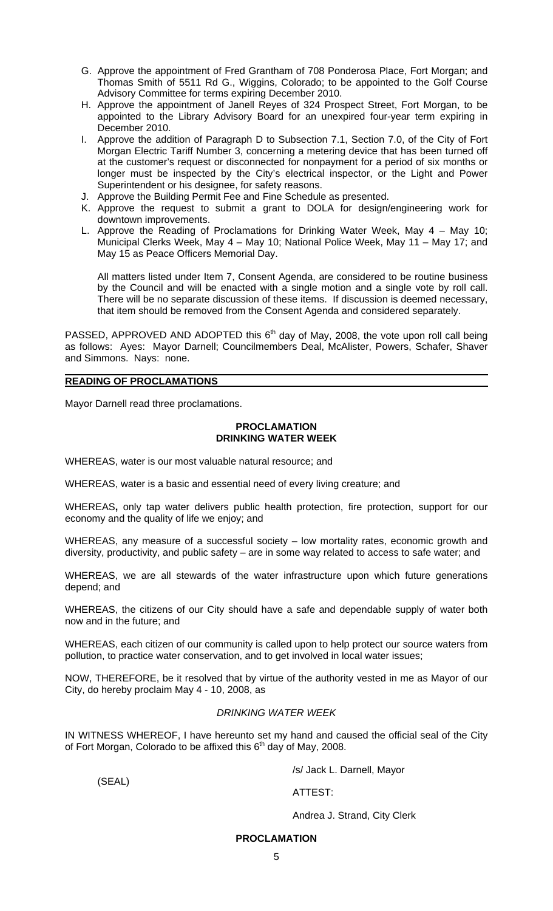- G. Approve the appointment of Fred Grantham of 708 Ponderosa Place, Fort Morgan; and Thomas Smith of 5511 Rd G., Wiggins, Colorado; to be appointed to the Golf Course Advisory Committee for terms expiring December 2010.
- H. Approve the appointment of Janell Reyes of 324 Prospect Street, Fort Morgan, to be appointed to the Library Advisory Board for an unexpired four-year term expiring in December 2010.
- I. Approve the addition of Paragraph D to Subsection 7.1, Section 7.0, of the City of Fort Morgan Electric Tariff Number 3, concerning a metering device that has been turned off at the customer's request or disconnected for nonpayment for a period of six months or longer must be inspected by the City's electrical inspector, or the Light and Power Superintendent or his designee, for safety reasons.
- J. Approve the Building Permit Fee and Fine Schedule as presented.
- K. Approve the request to submit a grant to DOLA for design/engineering work for downtown improvements.
- L. Approve the Reading of Proclamations for Drinking Water Week, May 4 May 10; Municipal Clerks Week, May 4 – May 10; National Police Week, May 11 – May 17; and May 15 as Peace Officers Memorial Day.

 All matters listed under Item 7, Consent Agenda, are considered to be routine business by the Council and will be enacted with a single motion and a single vote by roll call. There will be no separate discussion of these items. If discussion is deemed necessary, that item should be removed from the Consent Agenda and considered separately.

PASSED, APPROVED AND ADOPTED this  $6<sup>th</sup>$  day of May, 2008, the vote upon roll call being as follows: Ayes: Mayor Darnell; Councilmembers Deal, McAlister, Powers, Schafer, Shaver and Simmons. Nays: none.

### **READING OF PROCLAMATIONS**

Mayor Darnell read three proclamations.

### **PROCLAMATION DRINKING WATER WEEK**

WHEREAS, water is our most valuable natural resource; and

WHEREAS, water is a basic and essential need of every living creature; and

WHEREAS**,** only tap water delivers public health protection, fire protection, support for our economy and the quality of life we enjoy; and

WHEREAS, any measure of a successful society – low mortality rates, economic growth and diversity, productivity, and public safety – are in some way related to access to safe water; and

WHEREAS, we are all stewards of the water infrastructure upon which future generations depend; and

WHEREAS, the citizens of our City should have a safe and dependable supply of water both now and in the future; and

WHEREAS, each citizen of our community is called upon to help protect our source waters from pollution, to practice water conservation, and to get involved in local water issues;

NOW, THEREFORE, be it resolved that by virtue of the authority vested in me as Mayor of our City, do hereby proclaim May 4 - 10, 2008, as

## *DRINKING WATER WEEK*

IN WITNESS WHEREOF, I have hereunto set my hand and caused the official seal of the City of Fort Morgan, Colorado to be affixed this  $6<sup>th</sup>$  day of May, 2008.

/s/ Jack L. Darnell, Mayor

(SEAL)

ATTEST:

Andrea J. Strand, City Clerk

# **PROCLAMATION**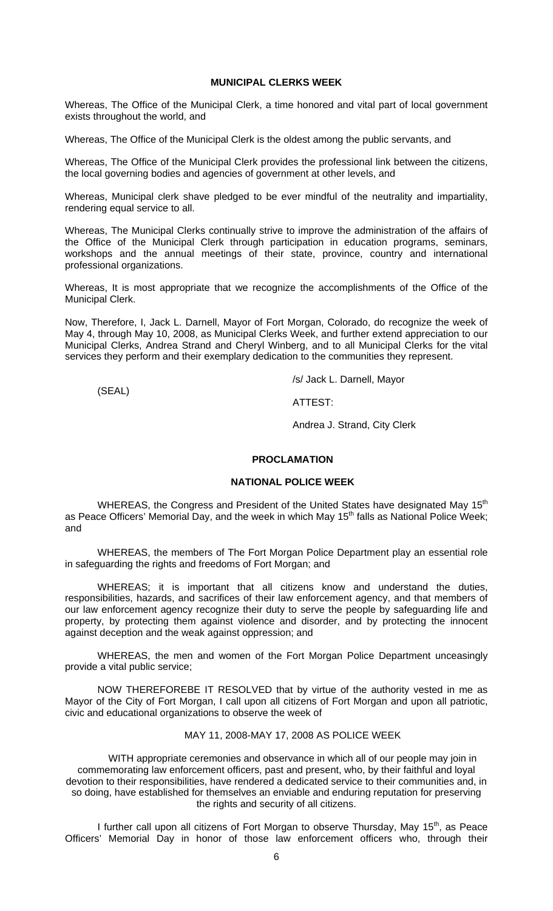### **MUNICIPAL CLERKS WEEK**

Whereas, The Office of the Municipal Clerk, a time honored and vital part of local government exists throughout the world, and

Whereas, The Office of the Municipal Clerk is the oldest among the public servants, and

Whereas, The Office of the Municipal Clerk provides the professional link between the citizens, the local governing bodies and agencies of government at other levels, and

Whereas, Municipal clerk shave pledged to be ever mindful of the neutrality and impartiality, rendering equal service to all.

Whereas, The Municipal Clerks continually strive to improve the administration of the affairs of the Office of the Municipal Clerk through participation in education programs, seminars, workshops and the annual meetings of their state, province, country and international professional organizations.

Whereas, It is most appropriate that we recognize the accomplishments of the Office of the Municipal Clerk.

Now, Therefore, I, Jack L. Darnell, Mayor of Fort Morgan, Colorado, do recognize the week of May 4, through May 10, 2008, as Municipal Clerks Week, and further extend appreciation to our Municipal Clerks, Andrea Strand and Cheryl Winberg, and to all Municipal Clerks for the vital services they perform and their exemplary dedication to the communities they represent.

/s/ Jack L. Darnell, Mayor

(SEAL)

ATTEST:

Andrea J. Strand, City Clerk

### **PROCLAMATION**

### **NATIONAL POLICE WEEK**

WHEREAS, the Congress and President of the United States have designated May 15<sup>th</sup> as Peace Officers' Memorial Day, and the week in which May 15<sup>th</sup> falls as National Police Week; and

 WHEREAS, the members of The Fort Morgan Police Department play an essential role in safeguarding the rights and freedoms of Fort Morgan; and

 WHEREAS; it is important that all citizens know and understand the duties, responsibilities, hazards, and sacrifices of their law enforcement agency, and that members of our law enforcement agency recognize their duty to serve the people by safeguarding life and property, by protecting them against violence and disorder, and by protecting the innocent against deception and the weak against oppression; and

 WHEREAS, the men and women of the Fort Morgan Police Department unceasingly provide a vital public service;

 NOW THEREFOREBE IT RESOLVED that by virtue of the authority vested in me as Mayor of the City of Fort Morgan, I call upon all citizens of Fort Morgan and upon all patriotic, civic and educational organizations to observe the week of

### MAY 11, 2008-MAY 17, 2008 AS POLICE WEEK

 WITH appropriate ceremonies and observance in which all of our people may join in commemorating law enforcement officers, past and present, who, by their faithful and loyal devotion to their responsibilities, have rendered a dedicated service to their communities and, in so doing, have established for themselves an enviable and enduring reputation for preserving the rights and security of all citizens.

I further call upon all citizens of Fort Morgan to observe Thursday, May 15<sup>th</sup>, as Peace Officers' Memorial Day in honor of those law enforcement officers who, through their